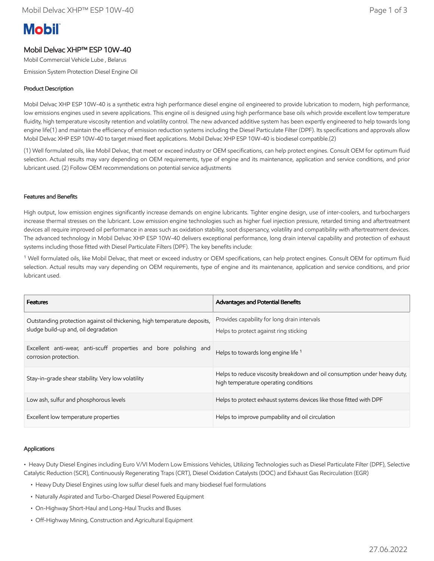# **Mobil**

# Mobil Delvac XHP™ ESP 10W-40

Mobil Commercial Vehicle Lube , Belarus

Emission System Protection Diesel Engine Oil

## Product Description

Mobil Delvac XHP ESP 10W-40 is a synthetic extra high performance diesel engine oil engineered to provide lubrication to modern, high performance, low emissions engines used in severe applications. This engine oil is designed using high performance base oils which provide excellent low temperature fluidity, high temperature viscosity retention and volatility control. The new advanced additive system has been expertly engineered to help towards long engine life(1) and maintain the efficiency of emission reduction systems including the Diesel Particulate Filter (DPF). Its specifications and approvals allow Mobil Delvac XHP ESP 10W-40 to target mixed fleet applications. Mobil Delvac XHP ESP 10W-40 is biodiesel compatible.(2)

(1) Well formulated oils, like Mobil Delvac, that meet or exceed industry or OEM specifications, can help protect engines. Consult OEM for optimum fluid selection. Actual results may vary depending on OEM requirements, type of engine and its maintenance, application and service conditions, and prior lubricant used. (2) Follow OEM recommendations on potential service adjustments

#### Features and Benefits

High output, low emission engines significantly increase demands on engine lubricants. Tighter engine design, use of inter-coolers, and turbochargers increase thermal stresses on the lubricant. Low emission engine technologies such as higher fuel injection pressure, retarded timing and aftertreatment devices all require improved oil performance in areas such as oxidation stability, soot dispersancy, volatility and compatibility with aftertreatment devices. The advanced technology in Mobil Delvac XHP ESP 10W-40 delivers exceptional performance, long drain interval capability and protection of exhaust systems including those fitted with Diesel Particulate Filters (DPF). The key benefits include:

<sup>1</sup> Well formulated oils, like Mobil Delvac, that meet or exceed industry or OEM specifications, can help protect engines. Consult OEM for optimum fluid selection. Actual results may vary depending on OEM requirements, type of engine and its maintenance, application and service conditions, and prior lubricant used.

| <b>Features</b>                                                                                                   | <b>Advantages and Potential Benefits</b>                                                                           |
|-------------------------------------------------------------------------------------------------------------------|--------------------------------------------------------------------------------------------------------------------|
| Outstanding protection against oil thickening, high temperature deposits,<br>sludge build-up and, oil degradation | Provides capability for long drain intervals<br>Helps to protect against ring sticking                             |
| Excellent anti-wear, anti-scuff properties and bore polishing and<br>corrosion protection.                        | Helps to towards long engine life <sup>1</sup>                                                                     |
| Stay-in-grade shear stability. Very low volatility                                                                | Helps to reduce viscosity breakdown and oil consumption under heavy duty,<br>high temperature operating conditions |
| Low ash, sulfur and phosphorous levels                                                                            | Helps to protect exhaust systems devices like those fitted with DPF                                                |
| Excellent low temperature properties                                                                              | Helps to improve pumpability and oil circulation                                                                   |

#### Applications

• Heavy Duty Diesel Engines including Euro V/VI Modern Low Emissions Vehicles, Utilizing Technologies such as Diesel Particulate Filter (DPF), Selective Catalytic Reduction (SCR), Continuously Regenerating Traps (CRT), Diesel Oxidation Catalysts (DOC) and Exhaust Gas Recirculation (EGR)

- Heavy Duty Diesel Engines using low sulfur diesel fuels and many biodiesel fuel formulations
- Naturally Aspirated and Turbo-Charged Diesel Powered Equipment
- On-Highway Short-Haul and Long-Haul Trucks and Buses
- Off-Highway Mining, Construction and Agricultural Equipment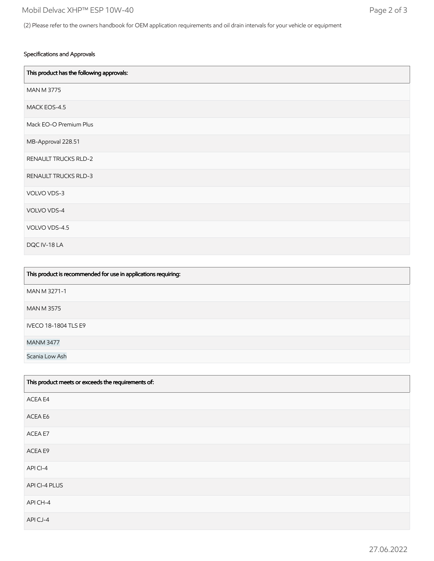#### Specifications and Approvals

| This product has the following approvals: |
|-------------------------------------------|
| <b>MAN M 3775</b>                         |
| MACK EOS-4.5                              |
| Mack EO-O Premium Plus                    |
| MB-Approval 228.51                        |
| <b>RENAULT TRUCKS RLD-2</b>               |
| RENAULT TRUCKS RLD-3                      |
| VOLVO VDS-3                               |
| VOLVO VDS-4                               |
| VOLVO VDS-4.5                             |
| DQC IV-18 LA                              |

| This product is recommended for use in applications requiring: |
|----------------------------------------------------------------|
| MAN M 3271-1                                                   |
| <b>MAN M 3575</b>                                              |
| <b>IVECO 18-1804 TLS E9</b>                                    |
| <b>MANM 3477</b>                                               |
| Scania Low Ash                                                 |

| This product meets or exceeds the requirements of: |
|----------------------------------------------------|
| ACEA E4                                            |
| ACEA E6                                            |
| ACEA E7                                            |
| ACEA E9                                            |
| APICI-4                                            |
| API CI-4 PLUS                                      |
| API CH-4                                           |
| APICJ-4                                            |